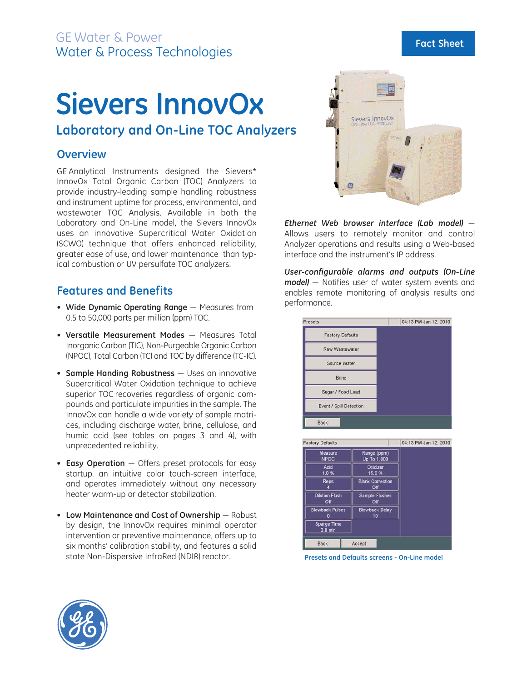# **Sievers InnovOx**

## **Laboratory and On-Line TOC Analyzers**

## **Overview**

GE Analytical Instruments designed the Sievers\* InnovOx Total Organic Carbon (TOC) Analyzers to provide industry-leading sample handling robustness and instrument uptime for process, environmental, and wastewater TOC Analysis. Available in both the Laboratory and On-Line model, the Sievers InnovOx uses an innovative Supercritical Water Oxidation (SCWO) technique that offers enhanced reliability, greater ease of use, and lower maintenance than typical combustion or UV persulfate TOC analyzers.

## **Features and Benefits**

- **Wide Dynamic Operating Range** Measures from 0.5 to 50,000 parts per million (ppm) TOC.
- **Versatile Measurement Modes** Measures Total Inorganic Carbon (TIC), Non-Purgeable Organic Carbon (NPOC), Total Carbon (TC) and TOC by difference (TC-IC).
- **Sample Handing Robustness** Uses an innovative Supercritical Water Oxidation technique to achieve superior TOC recoveries regardless of organic compounds and particulate impurities in the sample. The InnovOx can handle a wide variety of sample matrices, including discharge water, brine, cellulose, and humic acid (see tables on pages 3 and 4), with unprecedented reliability.
- **Easy Operation** Offers preset protocols for easy startup, an intuitive color touch-screen interface, and operates immediately without any necessary heater warm-up or detector stabilization.
- **Low Maintenance and Cost of Ownership** Robust by design, the InnovOx requires minimal operator intervention or preventive maintenance, offers up to six months' calibration stability, and features a solid state Non-Dispersive InfraRed (NDIR) reactor.



*Ethernet Web browser interface (Lab model)* — Allows users to remotely monitor and control Analyzer operations and results using a Web-based interface and the instrument's IP address.

*User-configurable alarms and outputs (On-Line model)* — Notifies user of water system events and enables remote monitoring of analysis results and performance.

| Presets                         |                                | 04:13 PM Jan 12, 2010 |
|---------------------------------|--------------------------------|-----------------------|
| <b>Factory Defaults</b>         |                                |                       |
| Raw Wastewater                  |                                |                       |
| Source Water                    |                                |                       |
| <b>Brine</b>                    |                                |                       |
| Sugar / Food Load               |                                |                       |
| Event / Spill Detection         |                                |                       |
| <b>Back</b>                     |                                |                       |
| <b>Factory Defaults</b>         |                                | 04:13 PM Jan 12, 2010 |
| Measure<br><b>NPOC</b>          | Range (ppm)<br>Up To 1,000     |                       |
| Acid<br>1.0%                    | Oxidizer<br>15.0%              |                       |
| <b>Reps</b>                     | <b>Blank Correction</b><br>Off |                       |
| <b>Dilution Flush</b><br>Off    | Sample Flushes<br>Off          |                       |
| <b>Blowback Pulses</b>          | <b>Blowback Delay</b><br>10    |                       |
| <b>Sparge Time</b><br>$0.8$ min |                                |                       |
|                                 |                                |                       |

**Presets and Defaults screens - On-Line model**

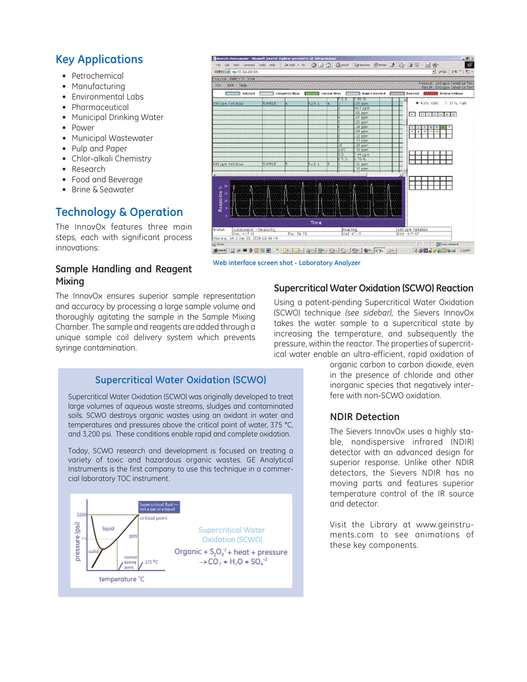## **Key Applications**

- Petrochemical
- Manufacturing
- Environmental Labs
- Pharmaceutical
- Municipal Drinking Water
- Power
- Municipal Wastewater
- Pulp and Paper
- Chlor-alkali Chemistry
- Research
- Food and Beverage
- Brine & Seawater

## **Technology & Operation**

The InnovOx features three main steps, each with significant process innovations:

### **Sample Handling and Reagent Mixing**

The InnovOx ensures superior sample representation and accuracy by processing a large sample volume and thoroughly agitating the sample in the Sample Mixing Chamber. The sample and reagents are added through a unique sample coil delivery system which prevents syringe contamination.

#### **Chimavile: Autonampler - Histonich: Internet Explorer pro** Ho bot war ranses toos mo 中ma - 9 0 0 0 0 maar Ryaares Brook 通 2 图  $\mathbf{1}$ ad <br />  $3800$ Address Le 1 vita //2.112.203.126 Mayton NNOV343011 Protozor 100 gov. Cellabes Test<br>Paculti 300 gov. Cellabes Test fils tiet Help Considered function Considered Heat ÷ Carrent Mean **Entranced** Stak-Corrected Entranced Relected Hill **MAN Heview Settings** # 43mL Vide - 25 17mL Viale  $750H$ ol pro<br>Of pps<br>25 pps<br>16 pps<br>CG pps  $\Box$  state state  $200$ 10 pp es gpr O cum Culu 11 ppm FF 11 11 Time 100 con catulos:<br>Pmt: 412:42 **Paacting** Pag: 04:50 army: 04:1 Jan 23, 2008 10:46:43 **Pilling** intran and 12 → ■ 9 位当团 → | De | Qe | Qen| She | De | De | Qe | De | De | U **JSHARODE COM**

**Web interface screen shot - Laboratory Analyzer**

#### **Supercritical Water Oxidation (SCWO) Reaction**

Using a patent-pending Supercritical Water Oxidation (SCWO) technique *(see sidebar),* the Sievers InnovOx takes the water sample to a supercritical state by increasing the temperature, and subsequently the pressure, within the reactor. The properties of supercritical water enable an ultra-efficient, rapid oxidation of

## **Supercritical Water Oxidation (SCWO)**

Supercritical Water Oxidation (SCWO) was originally developed to treat large volumes of aqueous waste streams, sludges and contaminated soils. SCWO destroys organic wastes using an oxidant in water and temperatures and pressures above the critical point of water, 375 °C, and 3,200 psi. These conditions enable rapid and complete oxidation.

Today, SCWO research and development is focused on treating a variety of toxic and hazardous organic wastes. GE Analytical Instruments is the first company to use this technique in a commercial laboratory TOC instrument.



organic carbon to carbon dioxide, even in the presence of chloride and other inorganic species that negatively interfere with non-SCWO oxidation.

## **NDIR Detection**

The Sievers InnovOx uses a highly stable, nondispersive infrared (NDIR) detector with an advanced design for superior response. Unlike other NDIR detectors, the Sievers NDIR has no moving parts and features superior temperature control of the IR source and detector.

Visit the Library at www.geinstruments.com to see animations of these key components.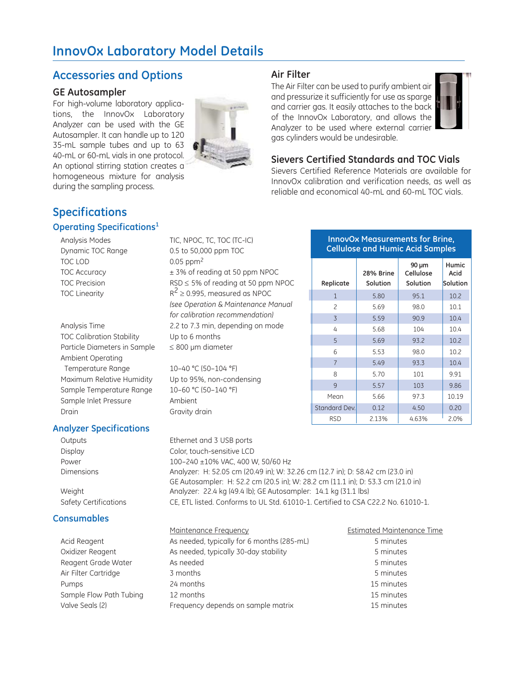## **InnovOx Laboratory Model Details**

## **Accessories and Options**

#### **GE Autosampler**

For high-volume laboratory applications, the InnovOx Laboratory Analyzer can be used with the GE Autosampler. It can handle up to 120 35-mL sample tubes and up to 63 40-mL or 60-mL vials in one protocol. An optional stirring station creates a homogeneous mixture for analysis during the sampling process.



#### **Air Filter**

The Air Filter can be used to purify ambient air and pressurize it sufficiently for use as sparge and carrier gas. It easily attaches to the back of the InnovOx Laboratory, and allows the Analyzer to be used where external carrier gas cylinders would be undesirable.



#### **Sievers Certified Standards and TOC Vials**

Sievers Certified Reference Materials are available for InnovOx calibration and verification needs, as well as reliable and economical 40-mL and 60-mL TOC vials.

## **Specifications**

#### **Operating Specifications1**

- TOC LOD 0.05 ppm<sup>2</sup>
- TOC Calibration Stability Up to 6 months Particle Diameters in Sample  $\leq 800$  µm diameter Ambient Operating Temperature Range 10–40 °C (50–104 °F) Maximum Relative Humidity Up to 95%, non-condensing Sample Temperature Range 10–60 °C (50–140 °F) Sample Inlet Pressure Ambient Drain Gravity drain

#### **Analyzer Specifications**

#### **Consumables**

Analysis Modes TIC, NPOC, TC, TOC (TC-IC) Dynamic TOC Range 0.5 to 50,000 ppm TOC TOC Accuracy  $\pm$  3% of reading at 50 ppm NPOC TOC Precision RSD ≤ 5% of reading at 50 ppm NPOC TOC Linearity  $R^2 \ge 0.995$ , measured as NPOC *(see Operation & Maintenance Manual for calibration recommendation)* Analysis Time 2.2 to 7.3 min, depending on mode

#### **InnovOx Measurements for Brine, Cellulose and Humic Acid Samples**

| Replicate      | 28% Brine<br>Solution | 90 µm<br>Cellulose<br>Solution | <b>Humic</b><br>Acid<br>Solution |
|----------------|-----------------------|--------------------------------|----------------------------------|
| $\mathbf{1}$   | 5.80                  | 95.1                           | 10.2                             |
| $\overline{c}$ | 5.69                  | 98.0                           | 10.1                             |
| 3              | 5.59                  | 90.9                           | 10.4                             |
| 4              | 5.68                  | 104                            | 10.4                             |
| 5              | 5.69                  | 93.2                           | 10.2                             |
| 6              | 5.53                  | 98.0                           | 10.2                             |
| $\overline{7}$ | 5.49                  | 93.3                           | 10.4                             |
| 8              | 5.70                  | 101                            | 9.91                             |
| 9              | 5.57                  | 103                            | 9.86                             |
| Mean           | 5.66                  | 97.3                           | 10.19                            |
| Standard Dev.  | 0.12                  | 4.50                           | 0.20                             |
| <b>RSD</b>     | 2.13%                 | 4.63%                          | 2.0%                             |

Outputs Ethernet and 3 USB ports Display Color, touch-sensitive LCD Power 100–240 ±10% VAC, 400 W, 50/60 Hz Dimensions Analyzer: H: 52.05 cm (20.49 in); W: 32.26 cm (12.7 in); D: 58.42 cm (23.0 in) GE Autosampler: H: 52.2 cm (20.5 in); W: 28.2 cm (11.1 in); D: 53.3 cm (21.0 in) Weight **Analyzer: 22.4 kg (49.4 lb); GE Autosampler: 14.1 kg (31.1 lbs)** Safety Certifications CE, ETL listed. Conforms to UL Std. 61010-1. Certified to CSA C22.2 No. 61010-1.

|                         | Maintenance Frequency                      | <b>Estimated Mainten</b> |
|-------------------------|--------------------------------------------|--------------------------|
| Acid Reagent            | As needed, typically for 6 months (285-mL) | 5 minutes                |
| Oxidizer Reagent        | As needed, typically 30-day stability      | 5 minutes                |
| Reagent Grade Water     | As needed                                  | 5 minutes                |
| Air Filter Cartridge    | 3 months                                   | 5 minutes                |
| Pumps                   | 24 months                                  | 15 minutes               |
| Sample Flow Path Tubing | 12 months                                  | 15 minutes               |
| Valve Seals (2)         | Frequency depends on sample matrix         | 15 minutes               |

#### Estimated Maintenance Time